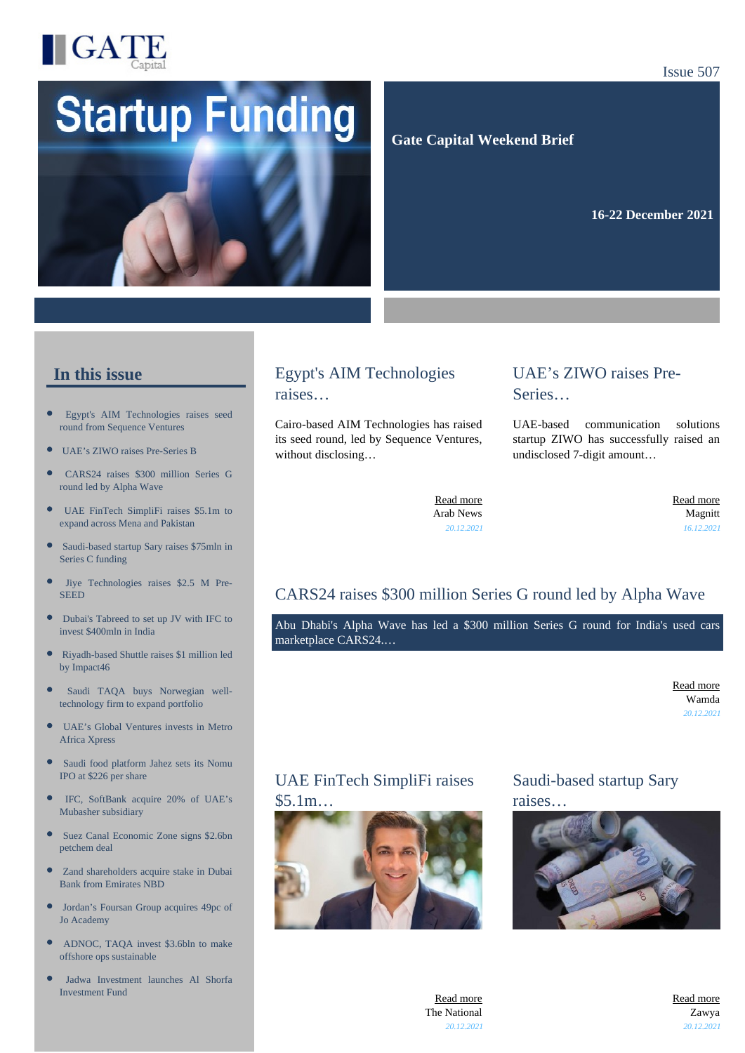

#### Issue 507

# **Startup Funding**

#### **Gate Capital Weekend Brief**

**16-22 December 2021** 

#### **In this issue**

- [Egypt's AIM Technologies raises seed](https://gatecapital.net/back_office/newsletters/tracking/5512/648) [round from Sequence Ventures](https://gatecapital.net/back_office/newsletters/tracking/5512/648)
- [UAE's ZIWO raises Pre-Series B](https://gatecapital.net/back_office/newsletters/tracking/5520/648)
- $\bullet$ [CARS24 raises \\$300 million Series G](https://gatecapital.net/back_office/newsletters/tracking/5518/648) [round led by Alpha Wave](https://gatecapital.net/back_office/newsletters/tracking/5518/648)
- [UAE FinTech SimpliFi raises \\$5.1m to](https://gatecapital.net/back_office/newsletters/tracking/5522/648) [expand across Mena and Pakistan](https://gatecapital.net/back_office/newsletters/tracking/5522/648)
- $\bullet$ [Saudi-based startup Sary raises \\$75mln in](https://gatecapital.net/back_office/newsletters/tracking/5507/648) [Series C funding](https://gatecapital.net/back_office/newsletters/tracking/5507/648)
- [Jiye Technologies raises \\$2.5 M Pre-](https://gatecapital.net/back_office/newsletters/tracking/5519/648) $\bullet$ **[SEED](https://gatecapital.net/back_office/newsletters/tracking/5519/648)**
- [Dubai's Tabreed to set up JV with IFC to](https://gatecapital.net/back_office/newsletters/tracking/5506/648) [invest \\$400mln in India](https://gatecapital.net/back_office/newsletters/tracking/5506/648)
- $\bullet$ [Riyadh-based Shuttle raises \\$1 million led](https://gatecapital.net/back_office/newsletters/tracking/5527/648) [by Impact46](https://gatecapital.net/back_office/newsletters/tracking/5527/648)
- $\bullet$ [Saudi TAQA buys Norwegian well](https://gatecapital.net/back_office/newsletters/tracking/5508/648)[technology firm to expand portfolio](https://gatecapital.net/back_office/newsletters/tracking/5508/648)
- $\bullet$ [UAE's Global Ventures invests in Metro](https://gatecapital.net/back_office/newsletters/tracking/5511/648) [Africa Xpress](https://gatecapital.net/back_office/newsletters/tracking/5511/648)
- [Saudi food platform Jahez sets its Nomu](https://gatecapital.net/back_office/newsletters/tracking/5509/648) [IPO at \\$226 per share](https://gatecapital.net/back_office/newsletters/tracking/5509/648)
- [IFC, SoftBank acquire 20% of UAE's](https://gatecapital.net/back_office/newsletters/tracking/5513/648) [Mubasher subsidiary](https://gatecapital.net/back_office/newsletters/tracking/5513/648)
- $\bullet$ [Suez Canal Economic Zone signs \\$2.6bn](https://gatecapital.net/back_office/newsletters/tracking/5516/648) [petchem deal](https://gatecapital.net/back_office/newsletters/tracking/5516/648)
- [Zand shareholders acquire stake in Dubai](https://gatecapital.net/back_office/newsletters/tracking/5523/648) [Bank from Emirates NBD](https://gatecapital.net/back_office/newsletters/tracking/5523/648)
- $\bullet$ [Jordan's Foursan Group acquires 49pc of](https://gatecapital.net/back_office/newsletters/tracking/5517/648) [Jo Academy](https://gatecapital.net/back_office/newsletters/tracking/5517/648)
- $\bullet$ [ADNOC, TAQA invest \\$3.6bln to make](https://gatecapital.net/back_office/newsletters/tracking/5521/648) [offshore ops sustainable](https://gatecapital.net/back_office/newsletters/tracking/5521/648)
- [Jadwa Investment launches Al Shorfa](https://gatecapital.net/back_office/newsletters/tracking/5524/648) [Investment Fund](https://gatecapital.net/back_office/newsletters/tracking/5524/648)

#### Egypt's AIM Technologies raises…

Cairo-based AIM Technologies has raised its seed round, led by Sequence Ventures, without disclosing…

#### UAE's ZIWO raises Pre-Series…

UAE-based communication solutions startup ZIWO has successfully raised an undisclosed 7-digit amount…

[Read more](https://gatecapital.net/back_office/newsletters/tracking/5512/648) Arab News *20.12.2021*

[Read more](https://gatecapital.net/back_office/newsletters/tracking/5520/648) Magnitt *16.12.2021*

# CARS24 raises \$300 million Series G round led by Alpha Wave

Abu Dhabi's Alpha Wave has led a \$300 million Series G round for India's used cars marketplace CARS24.…

> [Read more](https://gatecapital.net/back_office/newsletters/tracking/5518/648) Wamda *20.12.2021*

# UAE FinTech SimpliFi raises



Saudi-based startup Sary raises…



[Read more](https://gatecapital.net/back_office/newsletters/tracking/5522/648) The National *20.12.2021* [Read more](https://gatecapital.net/back_office/newsletters/tracking/5507/648) Zawya *20.12.2021*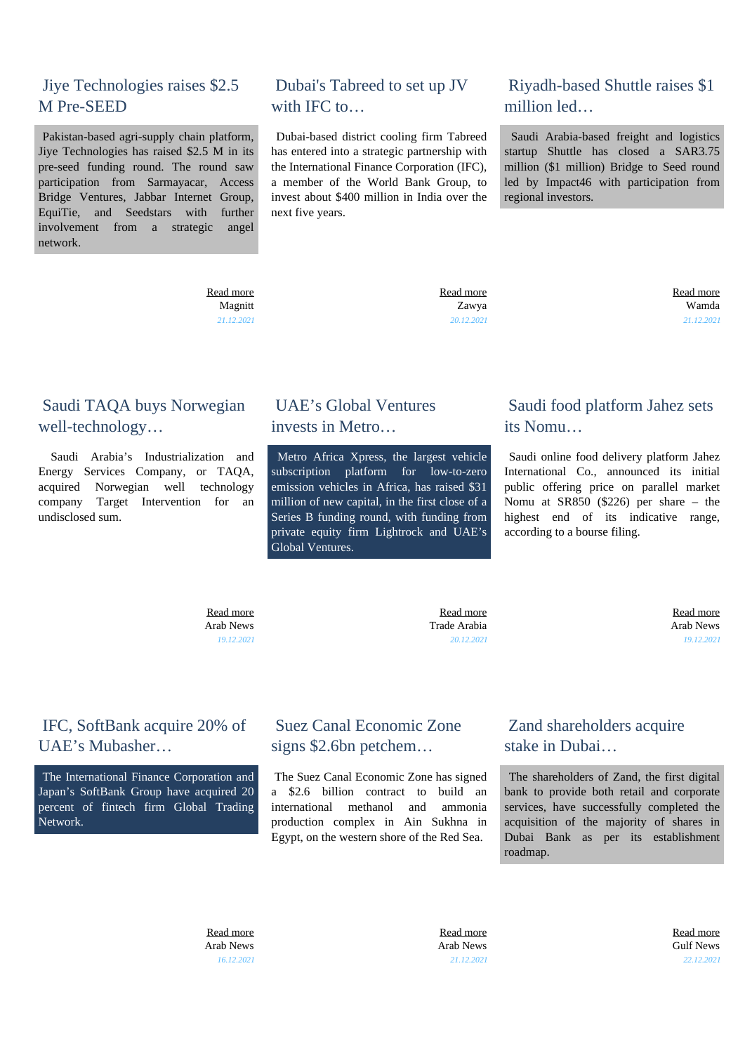#### Jiye Technologies raises \$2.5 M Pre-SEED

 Pakistan-based agri-supply chain platform, Jiye Technologies has raised \$2.5 M in its pre-seed funding round. The round saw participation from Sarmayacar, Access Bridge Ventures, Jabbar Internet Group, EquiTie, and Seedstars with further involvement from a strategic angel network.

#### Dubai's Tabreed to set up JV with **IFC** to…

 Dubai-based district cooling firm Tabreed has entered into a strategic partnership with the International Finance Corporation (IFC), a member of the World Bank Group, to invest about \$400 million in India over the next five years.

#### Riyadh-based Shuttle raises \$1 million led…

 Saudi Arabia-based freight and logistics startup Shuttle has closed a SAR3.75 million (\$1 million) Bridge to Seed round led by Impact46 with participation from regional investors.

 [Read more](https://gatecapital.net/back_office/newsletters/tracking/5519/648) Magnitt *21.12.2021*  [Read more](https://gatecapital.net/back_office/newsletters/tracking/5506/648) Zawya *20.12.2021*  [Read more](https://gatecapital.net/back_office/newsletters/tracking/5527/648) Wamda *21.12.2021*

#### Saudi TAQA buys Norwegian well-technology…

 Saudi Arabia's Industrialization and Energy Services Company, or TAQA, acquired Norwegian well technology company Target Intervention for an undisclosed sum.

#### UAE's Global Ventures invests in Metro…

 Metro Africa Xpress, the largest vehicle subscription platform for low-to-zero emission vehicles in Africa, has raised \$31 million of new capital, in the first close of a Series B funding round, with funding from private equity firm Lightrock and UAE's Global Ventures.

# Saudi food platform Jahez sets its Nomu…

 Saudi online food delivery platform Jahez International Co., announced its initial public offering price on parallel market Nomu at SR850 (\$226) per share – the highest end of its indicative range, according to a bourse filing.

 [Read more](https://gatecapital.net/back_office/newsletters/tracking/5508/648) Arab News *19.12.2021*

 [Read more](https://gatecapital.net/back_office/newsletters/tracking/5511/648) Trade Arabia *20.12.2021*

 [Read more](https://gatecapital.net/back_office/newsletters/tracking/5509/648) Arab News *19.12.2021*

#### IFC, SoftBank acquire 20% of UAE's Mubasher…

 The International Finance Corporation and Japan's SoftBank Group have acquired 20 percent of fintech firm Global Trading Network.

# Suez Canal Economic Zone signs \$2.6bn petchem…

 The Suez Canal Economic Zone has signed a \$2.6 billion contract to build an international methanol and ammonia production complex in Ain Sukhna in Egypt, on the western shore of the Red Sea.

# Zand shareholders acquire stake in Dubai…

 The shareholders of Zand, the first digital bank to provide both retail and corporate services, have successfully completed the acquisition of the majority of shares in Dubai Bank as per its establishment roadmap.

 [Read more](https://gatecapital.net/back_office/newsletters/tracking/5513/648) Arab News *16.12.2021*

 [Read more](https://gatecapital.net/back_office/newsletters/tracking/5516/648) Arab News *21.12.2021*

 [Read more](https://gatecapital.net/back_office/newsletters/tracking/5523/648) Gulf News *22.12.2021*